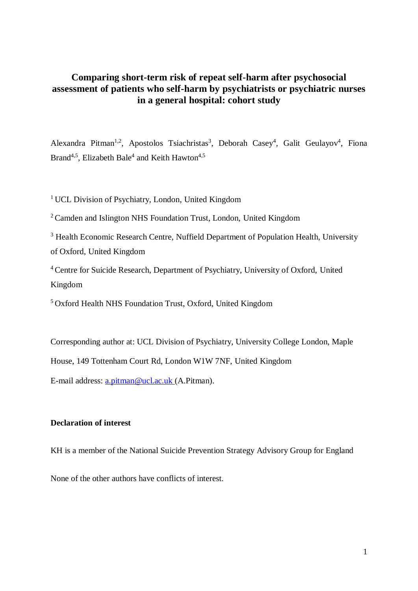# **Comparing short-term risk of repeat self-harm after psychosocial assessment of patients who self-harm by psychiatrists or psychiatric nurses in a general hospital: cohort study**

Alexandra Pitman<sup>1,2</sup>, Apostolos Tsiachristas<sup>3</sup>, Deborah Casey<sup>4</sup>, Galit Geulayov<sup>4</sup>, Fiona Brand<sup>4,5</sup>, Elizabeth Bale<sup>4</sup> and Keith Hawton<sup>4,5</sup>

<sup>1</sup> UCL Division of Psychiatry, London, United Kingdom

<sup>2</sup>Camden and Islington NHS Foundation Trust, London, United Kingdom

<sup>3</sup> Health Economic Research Centre, Nuffield Department of Population Health, University of Oxford, United Kingdom

<sup>4</sup> Centre for Suicide Research, Department of Psychiatry, University of Oxford, United Kingdom

<sup>5</sup>Oxford Health NHS Foundation Trust, Oxford, United Kingdom

Corresponding author at: UCL Division of Psychiatry, University College London, Maple

House, 149 Tottenham Court Rd, London W1W 7NF, United Kingdom

E-mail address: [a.pitman@ucl.ac.uk](mailto:a.pitman@ucl.ac.uk) (A.Pitman).

# **Declaration of interest**

KH is a member of the National Suicide Prevention Strategy Advisory Group for England

None of the other authors have conflicts of interest.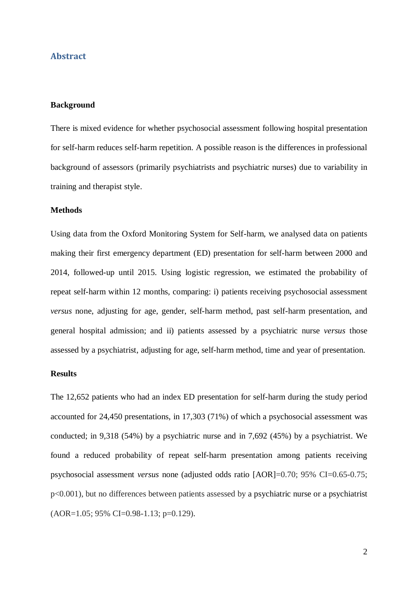## **Abstract**

## **Background**

There is mixed evidence for whether psychosocial assessment following hospital presentation for self-harm reduces self-harm repetition. A possible reason is the differences in professional background of assessors (primarily psychiatrists and psychiatric nurses) due to variability in training and therapist style.

#### **Methods**

Using data from the Oxford Monitoring System for Self-harm, we analysed data on patients making their first emergency department (ED) presentation for self-harm between 2000 and 2014, followed-up until 2015. Using logistic regression, we estimated the probability of repeat self-harm within 12 months, comparing: i) patients receiving psychosocial assessment *versus* none, adjusting for age, gender, self-harm method, past self-harm presentation, and general hospital admission; and ii) patients assessed by a psychiatric nurse *versus* those assessed by a psychiatrist, adjusting for age, self-harm method, time and year of presentation.

## **Results**

The 12,652 patients who had an index ED presentation for self-harm during the study period accounted for 24,450 presentations, in 17,303 (71%) of which a psychosocial assessment was conducted; in 9,318 (54%) by a psychiatric nurse and in 7,692 (45%) by a psychiatrist. We found a reduced probability of repeat self-harm presentation among patients receiving psychosocial assessment *versus* none (adjusted odds ratio [AOR]=0.70; 95% CI=0.65-0.75; p<0.001), but no differences between patients assessed by a psychiatric nurse or a psychiatrist (AOR=1.05; 95% CI=0.98-1.13; p=0.129).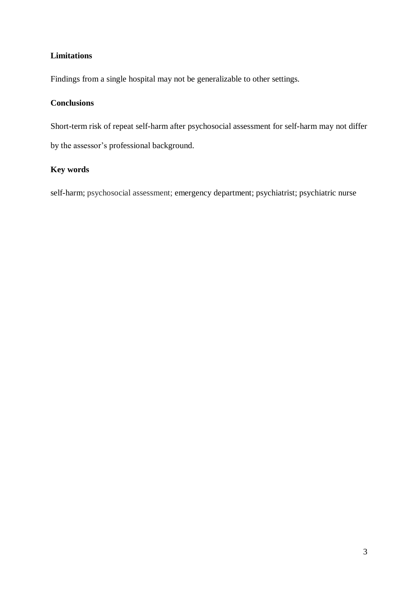# **Limitations**

Findings from a single hospital may not be generalizable to other settings.

# **Conclusions**

Short-term risk of repeat self-harm after psychosocial assessment for self-harm may not differ by the assessor's professional background.

# **Key words**

self-harm; psychosocial assessment; emergency department; psychiatrist; psychiatric nurse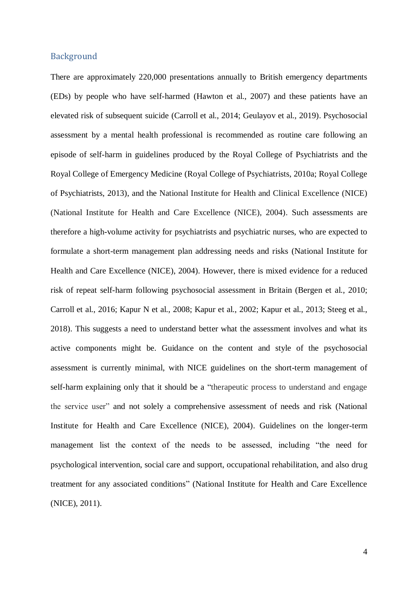# Background

There are approximately 220,000 presentations annually to British emergency departments (EDs) by people who have self-harmed (Hawton et al., 2007) and these patients have an elevated risk of subsequent suicide (Carroll et al., 2014; Geulayov et al., 2019). Psychosocial assessment by a mental health professional is recommended as routine care following an episode of self-harm in guidelines produced by the Royal College of Psychiatrists and the Royal College of Emergency Medicine (Royal College of Psychiatrists, 2010a; Royal College of Psychiatrists, 2013), and the National Institute for Health and Clinical Excellence (NICE) (National Institute for Health and Care Excellence (NICE), 2004). Such assessments are therefore a high-volume activity for psychiatrists and psychiatric nurses, who are expected to formulate a short-term management plan addressing needs and risks (National Institute for Health and Care Excellence (NICE), 2004). However, there is mixed evidence for a reduced risk of repeat self-harm following psychosocial assessment in Britain (Bergen et al., 2010; Carroll et al., 2016; Kapur N et al., 2008; Kapur et al., 2002; Kapur et al., 2013; Steeg et al., 2018). This suggests a need to understand better what the assessment involves and what its active components might be. Guidance on the content and style of the psychosocial assessment is currently minimal, with NICE guidelines on the short-term management of self-harm explaining only that it should be a "therapeutic process to understand and engage the service user" and not solely a comprehensive assessment of needs and risk (National Institute for Health and Care Excellence (NICE), 2004). Guidelines on the longer-term management list the context of the needs to be assessed, including "the need for psychological intervention, social care and support, occupational rehabilitation, and also drug treatment for any associated conditions" (National Institute for Health and Care Excellence (NICE), 2011).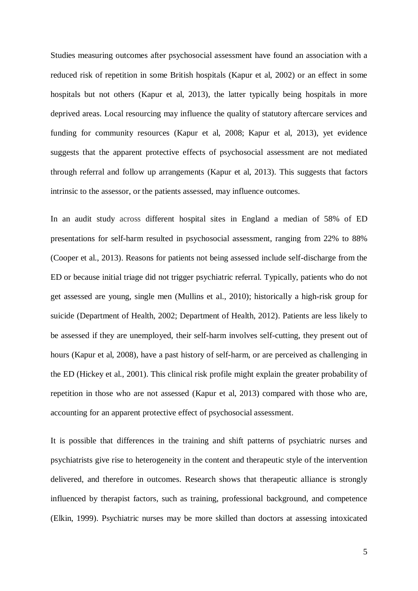Studies measuring outcomes after psychosocial assessment have found an association with a reduced risk of repetition in some British hospitals (Kapur et al, 2002) or an effect in some hospitals but not others (Kapur et al, 2013), the latter typically being hospitals in more deprived areas. Local resourcing may influence the quality of statutory aftercare services and funding for community resources (Kapur et al, 2008; Kapur et al, 2013), yet evidence suggests that the apparent protective effects of psychosocial assessment are not mediated through referral and follow up arrangements (Kapur et al, 2013). This suggests that factors intrinsic to the assessor, or the patients assessed, may influence outcomes.

In an audit study across different hospital sites in England a median of 58% of ED presentations for self-harm resulted in psychosocial assessment, ranging from 22% to 88% (Cooper et al., 2013). Reasons for patients not being assessed include self-discharge from the ED or because initial triage did not trigger psychiatric referral. Typically, patients who do not get assessed are young, single men (Mullins et al., 2010); historically a high-risk group for suicide (Department of Health, 2002; Department of Health, 2012). Patients are less likely to be assessed if they are unemployed, their self-harm involves self-cutting, they present out of hours (Kapur et al, 2008), have a past history of self-harm, or are perceived as challenging in the ED (Hickey et al., 2001). This clinical risk profile might explain the greater probability of repetition in those who are not assessed (Kapur et al, 2013) compared with those who are, accounting for an apparent protective effect of psychosocial assessment.

It is possible that differences in the training and shift patterns of psychiatric nurses and psychiatrists give rise to heterogeneity in the content and therapeutic style of the intervention delivered, and therefore in outcomes. Research shows that therapeutic alliance is strongly influenced by therapist factors, such as training, professional background, and competence (Elkin, 1999). Psychiatric nurses may be more skilled than doctors at assessing intoxicated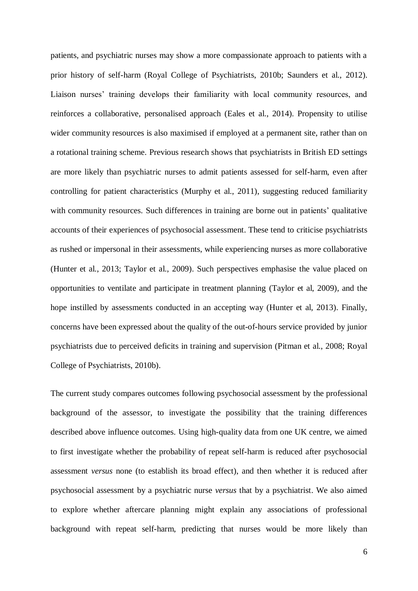patients, and psychiatric nurses may show a more compassionate approach to patients with a prior history of self-harm (Royal College of Psychiatrists, 2010b; Saunders et al., 2012). Liaison nurses' training develops their familiarity with local community resources, and reinforces a collaborative, personalised approach (Eales et al., 2014). Propensity to utilise wider community resources is also maximised if employed at a permanent site, rather than on a rotational training scheme. Previous research shows that psychiatrists in British ED settings are more likely than psychiatric nurses to admit patients assessed for self-harm, even after controlling for patient characteristics (Murphy et al., 2011), suggesting reduced familiarity with community resources. Such differences in training are borne out in patients' qualitative accounts of their experiences of psychosocial assessment. These tend to criticise psychiatrists as rushed or impersonal in their assessments, while experiencing nurses as more collaborative (Hunter et al., 2013; Taylor et al., 2009). Such perspectives emphasise the value placed on opportunities to ventilate and participate in treatment planning (Taylor et al, 2009), and the hope instilled by assessments conducted in an accepting way (Hunter et al, 2013). Finally, concerns have been expressed about the quality of the out-of-hours service provided by junior psychiatrists due to perceived deficits in training and supervision (Pitman et al., 2008; Royal College of Psychiatrists, 2010b).

The current study compares outcomes following psychosocial assessment by the professional background of the assessor, to investigate the possibility that the training differences described above influence outcomes. Using high-quality data from one UK centre, we aimed to first investigate whether the probability of repeat self-harm is reduced after psychosocial assessment *versus* none (to establish its broad effect), and then whether it is reduced after psychosocial assessment by a psychiatric nurse *versus* that by a psychiatrist. We also aimed to explore whether aftercare planning might explain any associations of professional background with repeat self-harm, predicting that nurses would be more likely than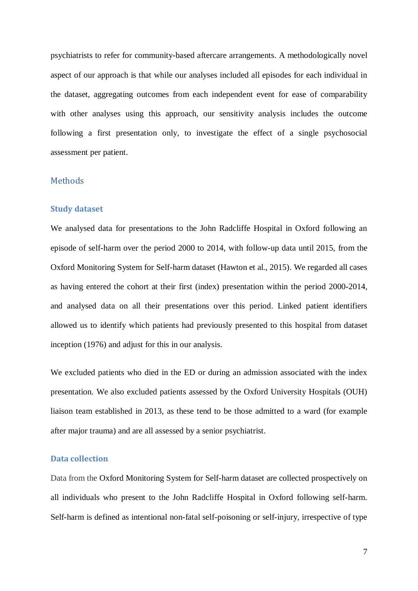psychiatrists to refer for community-based aftercare arrangements. A methodologically novel aspect of our approach is that while our analyses included all episodes for each individual in the dataset, aggregating outcomes from each independent event for ease of comparability with other analyses using this approach, our sensitivity analysis includes the outcome following a first presentation only, to investigate the effect of a single psychosocial assessment per patient.

## **Methods**

#### **Study dataset**

We analysed data for presentations to the John Radcliffe Hospital in Oxford following an episode of self-harm over the period 2000 to 2014, with follow-up data until 2015, from the Oxford Monitoring System for Self-harm dataset (Hawton et al., 2015). We regarded all cases as having entered the cohort at their first (index) presentation within the period 2000-2014, and analysed data on all their presentations over this period. Linked patient identifiers allowed us to identify which patients had previously presented to this hospital from dataset inception (1976) and adjust for this in our analysis.

We excluded patients who died in the ED or during an admission associated with the index presentation. We also excluded patients assessed by the Oxford University Hospitals (OUH) liaison team established in 2013, as these tend to be those admitted to a ward (for example after major trauma) and are all assessed by a senior psychiatrist.

# **Data collection**

Data from the Oxford Monitoring System for Self-harm dataset are collected prospectively on all individuals who present to the John Radcliffe Hospital in Oxford following self-harm. Self-harm is defined as intentional non-fatal self-poisoning or self-injury, irrespective of type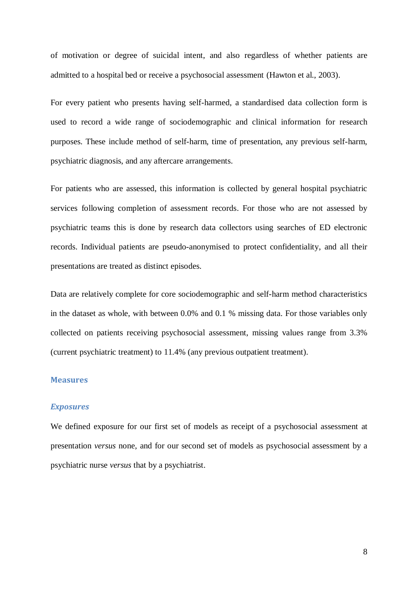of motivation or degree of suicidal intent, and also regardless of whether patients are admitted to a hospital bed or receive a psychosocial assessment (Hawton et al., 2003).

For every patient who presents having self-harmed, a standardised data collection form is used to record a wide range of sociodemographic and clinical information for research purposes. These include method of self-harm, time of presentation, any previous self-harm, psychiatric diagnosis, and any aftercare arrangements.

For patients who are assessed, this information is collected by general hospital psychiatric services following completion of assessment records. For those who are not assessed by psychiatric teams this is done by research data collectors using searches of ED electronic records. Individual patients are pseudo-anonymised to protect confidentiality, and all their presentations are treated as distinct episodes.

Data are relatively complete for core sociodemographic and self-harm method characteristics in the dataset as whole, with between 0.0% and 0.1 % missing data. For those variables only collected on patients receiving psychosocial assessment, missing values range from 3.3% (current psychiatric treatment) to 11.4% (any previous outpatient treatment).

## **Measures**

#### *Exposures*

We defined exposure for our first set of models as receipt of a psychosocial assessment at presentation *versus* none, and for our second set of models as psychosocial assessment by a psychiatric nurse *versus* that by a psychiatrist.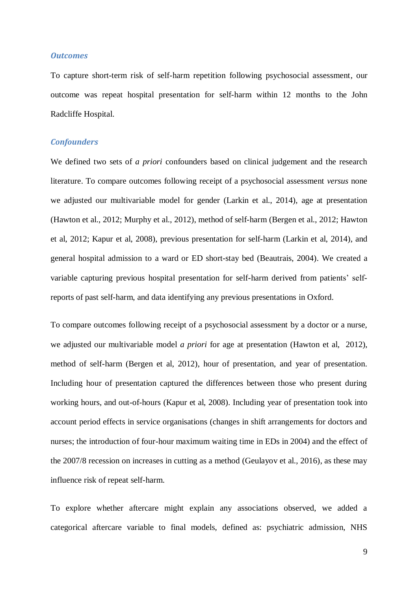### *Outcomes*

To capture short-term risk of self-harm repetition following psychosocial assessment, our outcome was repeat hospital presentation for self-harm within 12 months to the John Radcliffe Hospital.

# *Confounders*

We defined two sets of *a priori* confounders based on clinical judgement and the research literature. To compare outcomes following receipt of a psychosocial assessment *versus* none we adjusted our multivariable model for gender (Larkin et al., 2014), age at presentation (Hawton et al., 2012; Murphy et al., 2012), method of self-harm (Bergen et al., 2012; Hawton et al, 2012; Kapur et al, 2008), previous presentation for self-harm (Larkin et al, 2014), and general hospital admission to a ward or ED short-stay bed (Beautrais, 2004). We created a variable capturing previous hospital presentation for self-harm derived from patients' selfreports of past self-harm, and data identifying any previous presentations in Oxford.

To compare outcomes following receipt of a psychosocial assessment by a doctor or a nurse, we adjusted our multivariable model *a priori* for age at presentation (Hawton et al, 2012), method of self-harm (Bergen et al, 2012), hour of presentation, and year of presentation. Including hour of presentation captured the differences between those who present during working hours, and out-of-hours (Kapur et al, 2008). Including year of presentation took into account period effects in service organisations (changes in shift arrangements for doctors and nurses; the introduction of four-hour maximum waiting time in EDs in 2004) and the effect of the 2007/8 recession on increases in cutting as a method (Geulayov et al., 2016), as these may influence risk of repeat self-harm.

To explore whether aftercare might explain any associations observed, we added a categorical aftercare variable to final models, defined as: psychiatric admission, NHS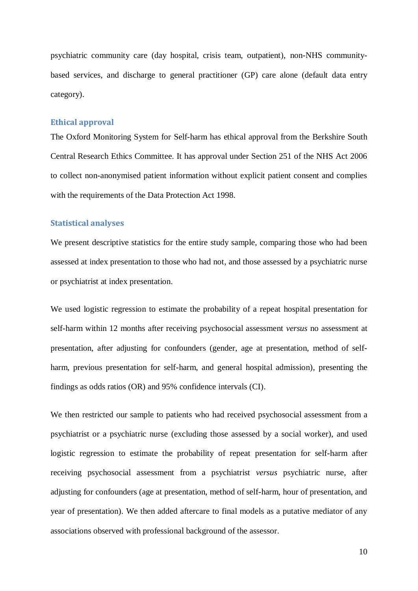psychiatric community care (day hospital, crisis team, outpatient), non-NHS communitybased services, and discharge to general practitioner (GP) care alone (default data entry category).

#### **Ethical approval**

The Oxford Monitoring System for Self-harm has ethical approval from the Berkshire South Central Research Ethics Committee. It has approval under Section 251 of the NHS Act 2006 to collect non-anonymised patient information without explicit patient consent and complies with the requirements of the Data Protection Act 1998.

## **Statistical analyses**

We present descriptive statistics for the entire study sample, comparing those who had been assessed at index presentation to those who had not, and those assessed by a psychiatric nurse or psychiatrist at index presentation.

We used logistic regression to estimate the probability of a repeat hospital presentation for self-harm within 12 months after receiving psychosocial assessment *versus* no assessment at presentation, after adjusting for confounders (gender, age at presentation, method of selfharm, previous presentation for self-harm, and general hospital admission), presenting the findings as odds ratios (OR) and 95% confidence intervals (CI).

We then restricted our sample to patients who had received psychosocial assessment from a psychiatrist or a psychiatric nurse (excluding those assessed by a social worker), and used logistic regression to estimate the probability of repeat presentation for self-harm after receiving psychosocial assessment from a psychiatrist *versus* psychiatric nurse, after adjusting for confounders (age at presentation, method of self-harm, hour of presentation, and year of presentation). We then added aftercare to final models as a putative mediator of any associations observed with professional background of the assessor.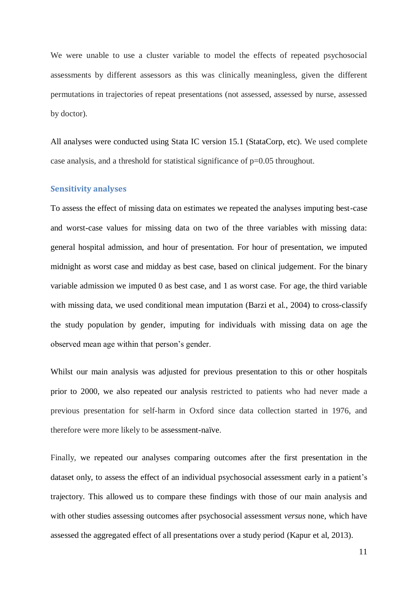We were unable to use a cluster variable to model the effects of repeated psychosocial assessments by different assessors as this was clinically meaningless, given the different permutations in trajectories of repeat presentations (not assessed, assessed by nurse, assessed by doctor).

All analyses were conducted using Stata IC version 15.1 (StataCorp, etc). We used complete case analysis, and a threshold for statistical significance of p=0.05 throughout.

## **Sensitivity analyses**

To assess the effect of missing data on estimates we repeated the analyses imputing best-case and worst-case values for missing data on two of the three variables with missing data: general hospital admission, and hour of presentation. For hour of presentation, we imputed midnight as worst case and midday as best case, based on clinical judgement. For the binary variable admission we imputed 0 as best case, and 1 as worst case. For age, the third variable with missing data, we used conditional mean imputation (Barzi et al., 2004) to cross-classify the study population by gender, imputing for individuals with missing data on age the observed mean age within that person's gender.

Whilst our main analysis was adjusted for previous presentation to this or other hospitals prior to 2000, we also repeated our analysis restricted to patients who had never made a previous presentation for self-harm in Oxford since data collection started in 1976, and therefore were more likely to be assessment-naïve.

Finally, we repeated our analyses comparing outcomes after the first presentation in the dataset only, to assess the effect of an individual psychosocial assessment early in a patient's trajectory. This allowed us to compare these findings with those of our main analysis and with other studies assessing outcomes after psychosocial assessment *versus* none, which have assessed the aggregated effect of all presentations over a study period (Kapur et al, 2013).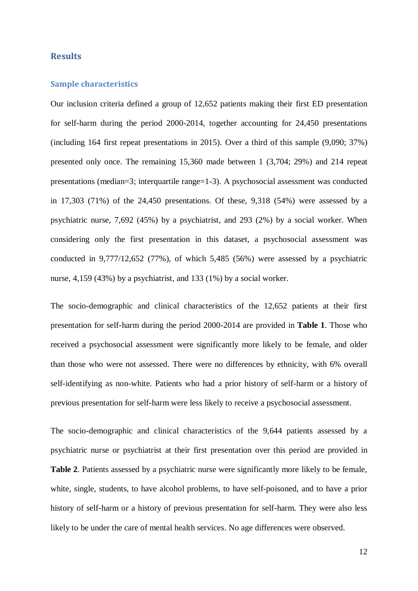## **Results**

#### **Sample characteristics**

Our inclusion criteria defined a group of 12,652 patients making their first ED presentation for self-harm during the period 2000-2014, together accounting for 24,450 presentations (including 164 first repeat presentations in 2015). Over a third of this sample (9,090; 37%) presented only once. The remaining 15,360 made between 1 (3,704; 29%) and 214 repeat presentations (median=3; interquartile range=1-3). A psychosocial assessment was conducted in 17,303 (71%) of the 24,450 presentations. Of these, 9,318 (54%) were assessed by a psychiatric nurse, 7,692 (45%) by a psychiatrist, and 293 (2%) by a social worker. When considering only the first presentation in this dataset, a psychosocial assessment was conducted in 9,777/12,652 (77%), of which 5,485 (56%) were assessed by a psychiatric nurse, 4,159 (43%) by a psychiatrist, and 133 (1%) by a social worker.

The socio-demographic and clinical characteristics of the 12,652 patients at their first presentation for self-harm during the period 2000-2014 are provided in **Table 1**. Those who received a psychosocial assessment were significantly more likely to be female, and older than those who were not assessed. There were no differences by ethnicity, with 6% overall self-identifying as non-white. Patients who had a prior history of self-harm or a history of previous presentation for self-harm were less likely to receive a psychosocial assessment.

The socio-demographic and clinical characteristics of the 9,644 patients assessed by a psychiatric nurse or psychiatrist at their first presentation over this period are provided in **Table 2**. Patients assessed by a psychiatric nurse were significantly more likely to be female, white, single, students, to have alcohol problems, to have self-poisoned, and to have a prior history of self-harm or a history of previous presentation for self-harm. They were also less likely to be under the care of mental health services. No age differences were observed.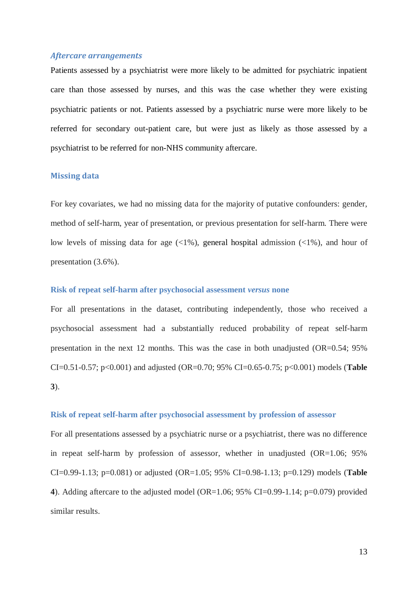## *Aftercare arrangements*

Patients assessed by a psychiatrist were more likely to be admitted for psychiatric inpatient care than those assessed by nurses, and this was the case whether they were existing psychiatric patients or not. Patients assessed by a psychiatric nurse were more likely to be referred for secondary out-patient care, but were just as likely as those assessed by a psychiatrist to be referred for non-NHS community aftercare.

### **Missing data**

For key covariates, we had no missing data for the majority of putative confounders: gender, method of self-harm, year of presentation, or previous presentation for self-harm. There were low levels of missing data for age  $\left(\langle 1\% \rangle$ , general hospital admission  $\left(\langle 1\% \rangle$ , and hour of presentation (3.6%).

#### **Risk of repeat self-harm after psychosocial assessment** *versus* **none**

For all presentations in the dataset, contributing independently, those who received a psychosocial assessment had a substantially reduced probability of repeat self-harm presentation in the next 12 months. This was the case in both unadjusted (OR=0.54; 95% CI=0.51-0.57; p<0.001) and adjusted (OR=0.70; 95% CI=0.65-0.75; p<0.001) models (**Table 3**).

#### **Risk of repeat self-harm after psychosocial assessment by profession of assessor**

For all presentations assessed by a psychiatric nurse or a psychiatrist, there was no difference in repeat self-harm by profession of assessor, whether in unadjusted (OR=1.06; 95%) CI=0.99-1.13; p=0.081) or adjusted (OR=1.05; 95% CI=0.98-1.13; p=0.129) models (**Table 4**). Adding aftercare to the adjusted model (OR=1.06; 95% CI=0.99-1.14; p=0.079) provided similar results.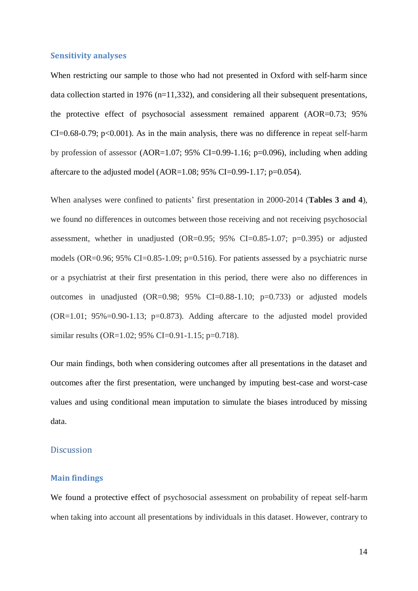#### **Sensitivity analyses**

When restricting our sample to those who had not presented in Oxford with self-harm since data collection started in 1976 (n=11,332), and considering all their subsequent presentations, the protective effect of psychosocial assessment remained apparent (AOR=0.73; 95%  $CI = 0.68 - 0.79$ ; p<0.001). As in the main analysis, there was no difference in repeat self-harm by profession of assessor (AOR=1.07; 95% CI=0.99-1.16; p=0.096), including when adding aftercare to the adjusted model (AOR=1.08; 95% CI=0.99-1.17; p=0.054).

When analyses were confined to patients' first presentation in 2000-2014 (**Tables 3 and 4**), we found no differences in outcomes between those receiving and not receiving psychosocial assessment, whether in unadjusted (OR=0.95; 95% CI=0.85-1.07; p=0.395) or adjusted models (OR=0.96; 95% CI=0.85-1.09; p=0.516). For patients assessed by a psychiatric nurse or a psychiatrist at their first presentation in this period, there were also no differences in outcomes in unadjusted (OR=0.98; 95% CI=0.88-1.10; p=0.733) or adjusted models  $(OR=1.01; 95\% = 0.90-1.13; p=0.873)$ . Adding aftercare to the adjusted model provided similar results (OR=1.02; 95% CI=0.91-1.15; p=0.718).

Our main findings, both when considering outcomes after all presentations in the dataset and outcomes after the first presentation, were unchanged by imputing best-case and worst-case values and using conditional mean imputation to simulate the biases introduced by missing data.

# **Discussion**

#### **Main findings**

We found a protective effect of psychosocial assessment on probability of repeat self-harm when taking into account all presentations by individuals in this dataset. However, contrary to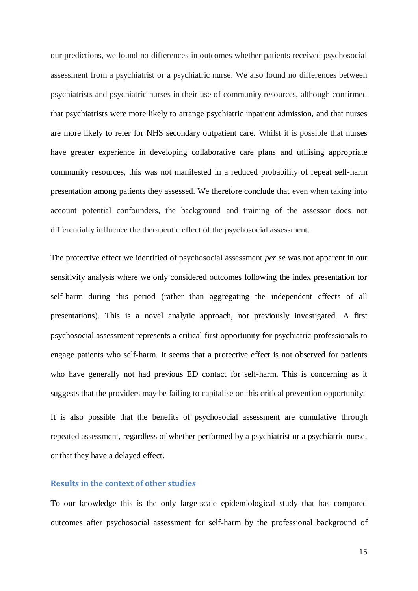our predictions, we found no differences in outcomes whether patients received psychosocial assessment from a psychiatrist or a psychiatric nurse. We also found no differences between psychiatrists and psychiatric nurses in their use of community resources, although confirmed that psychiatrists were more likely to arrange psychiatric inpatient admission, and that nurses are more likely to refer for NHS secondary outpatient care. Whilst it is possible that nurses have greater experience in developing collaborative care plans and utilising appropriate community resources, this was not manifested in a reduced probability of repeat self-harm presentation among patients they assessed. We therefore conclude that even when taking into account potential confounders, the background and training of the assessor does not differentially influence the therapeutic effect of the psychosocial assessment.

The protective effect we identified of psychosocial assessment *per se* was not apparent in our sensitivity analysis where we only considered outcomes following the index presentation for self-harm during this period (rather than aggregating the independent effects of all presentations). This is a novel analytic approach, not previously investigated. A first psychosocial assessment represents a critical first opportunity for psychiatric professionals to engage patients who self-harm. It seems that a protective effect is not observed for patients who have generally not had previous ED contact for self-harm. This is concerning as it suggests that the providers may be failing to capitalise on this critical prevention opportunity.

It is also possible that the benefits of psychosocial assessment are cumulative through repeated assessment, regardless of whether performed by a psychiatrist or a psychiatric nurse, or that they have a delayed effect.

# **Results in the context of other studies**

To our knowledge this is the only large-scale epidemiological study that has compared outcomes after psychosocial assessment for self-harm by the professional background of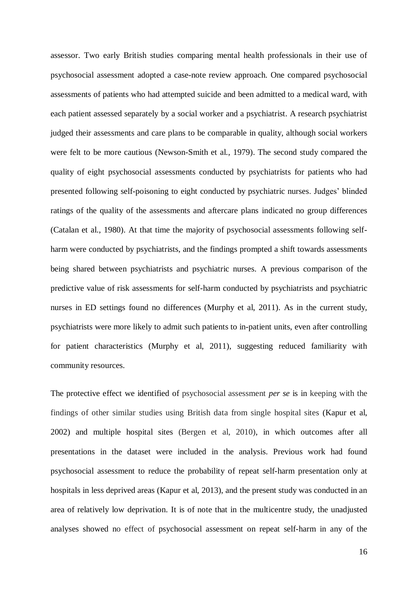assessor. Two early British studies comparing mental health professionals in their use of psychosocial assessment adopted a case-note review approach. One compared psychosocial assessments of patients who had attempted suicide and been admitted to a medical ward, with each patient assessed separately by a social worker and a psychiatrist. A research psychiatrist judged their assessments and care plans to be comparable in quality, although social workers were felt to be more cautious (Newson-Smith et al., 1979). The second study compared the quality of eight psychosocial assessments conducted by psychiatrists for patients who had presented following self-poisoning to eight conducted by psychiatric nurses. Judges' blinded ratings of the quality of the assessments and aftercare plans indicated no group differences (Catalan et al., 1980). At that time the majority of psychosocial assessments following selfharm were conducted by psychiatrists, and the findings prompted a shift towards assessments being shared between psychiatrists and psychiatric nurses. A previous comparison of the predictive value of risk assessments for self-harm conducted by psychiatrists and psychiatric nurses in ED settings found no differences (Murphy et al, 2011). As in the current study, psychiatrists were more likely to admit such patients to in-patient units, even after controlling for patient characteristics (Murphy et al, 2011), suggesting reduced familiarity with community resources.

The protective effect we identified of psychosocial assessment *per se* is in keeping with the findings of other similar studies using British data from single hospital sites (Kapur et al, 2002) and multiple hospital sites (Bergen et al, 2010), in which outcomes after all presentations in the dataset were included in the analysis. Previous work had found psychosocial assessment to reduce the probability of repeat self-harm presentation only at hospitals in less deprived areas (Kapur et al, 2013), and the present study was conducted in an area of relatively low deprivation. It is of note that in the multicentre study, the unadjusted analyses showed no effect of psychosocial assessment on repeat self-harm in any of the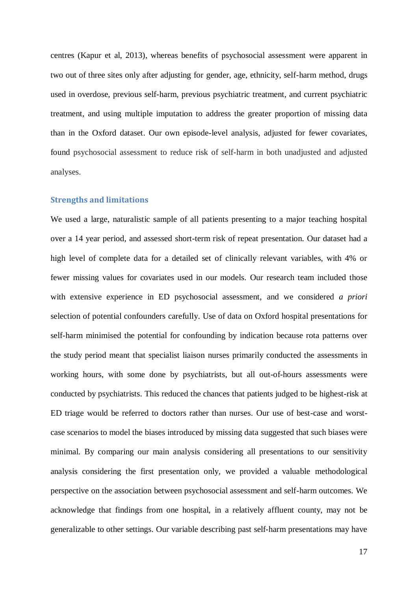centres (Kapur et al, 2013), whereas benefits of psychosocial assessment were apparent in two out of three sites only after adjusting for gender, age, ethnicity, self-harm method, drugs used in overdose, previous self-harm, previous psychiatric treatment, and current psychiatric treatment, and using multiple imputation to address the greater proportion of missing data than in the Oxford dataset. Our own episode-level analysis, adjusted for fewer covariates, found psychosocial assessment to reduce risk of self-harm in both unadjusted and adjusted analyses.

## **Strengths and limitations**

We used a large, naturalistic sample of all patients presenting to a major teaching hospital over a 14 year period, and assessed short-term risk of repeat presentation. Our dataset had a high level of complete data for a detailed set of clinically relevant variables, with 4% or fewer missing values for covariates used in our models. Our research team included those with extensive experience in ED psychosocial assessment, and we considered *a priori* selection of potential confounders carefully. Use of data on Oxford hospital presentations for self-harm minimised the potential for confounding by indication because rota patterns over the study period meant that specialist liaison nurses primarily conducted the assessments in working hours, with some done by psychiatrists, but all out-of-hours assessments were conducted by psychiatrists. This reduced the chances that patients judged to be highest-risk at ED triage would be referred to doctors rather than nurses. Our use of best-case and worstcase scenarios to model the biases introduced by missing data suggested that such biases were minimal. By comparing our main analysis considering all presentations to our sensitivity analysis considering the first presentation only, we provided a valuable methodological perspective on the association between psychosocial assessment and self-harm outcomes. We acknowledge that findings from one hospital, in a relatively affluent county, may not be generalizable to other settings. Our variable describing past self-harm presentations may have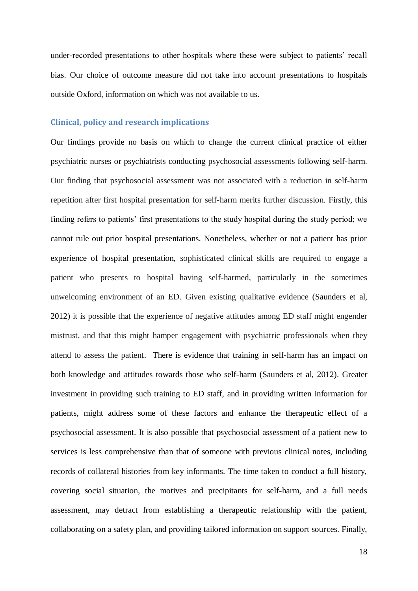under-recorded presentations to other hospitals where these were subject to patients' recall bias. Our choice of outcome measure did not take into account presentations to hospitals outside Oxford, information on which was not available to us.

## **Clinical, policy and research implications**

Our findings provide no basis on which to change the current clinical practice of either psychiatric nurses or psychiatrists conducting psychosocial assessments following self-harm. Our finding that psychosocial assessment was not associated with a reduction in self-harm repetition after first hospital presentation for self-harm merits further discussion. Firstly, this finding refers to patients' first presentations to the study hospital during the study period; we cannot rule out prior hospital presentations. Nonetheless, whether or not a patient has prior experience of hospital presentation, sophisticated clinical skills are required to engage a patient who presents to hospital having self-harmed, particularly in the sometimes unwelcoming environment of an ED. Given existing qualitative evidence (Saunders et al, 2012) it is possible that the experience of negative attitudes among ED staff might engender mistrust, and that this might hamper engagement with psychiatric professionals when they attend to assess the patient. There is evidence that training in self-harm has an impact on both knowledge and attitudes towards those who self-harm (Saunders et al, 2012). Greater investment in providing such training to ED staff, and in providing written information for patients, might address some of these factors and enhance the therapeutic effect of a psychosocial assessment. It is also possible that psychosocial assessment of a patient new to services is less comprehensive than that of someone with previous clinical notes, including records of collateral histories from key informants. The time taken to conduct a full history, covering social situation, the motives and precipitants for self-harm, and a full needs assessment, may detract from establishing a therapeutic relationship with the patient, collaborating on a safety plan, and providing tailored information on support sources. Finally,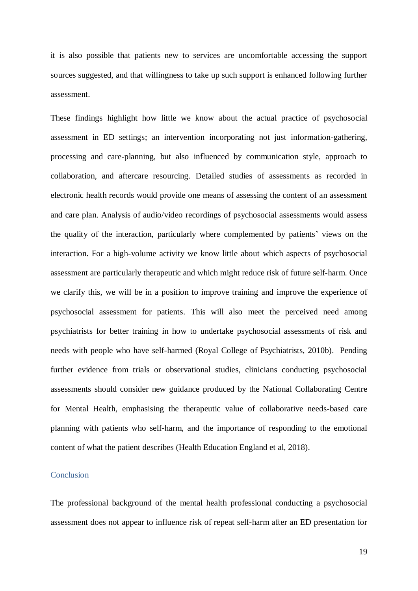it is also possible that patients new to services are uncomfortable accessing the support sources suggested, and that willingness to take up such support is enhanced following further assessment.

These findings highlight how little we know about the actual practice of psychosocial assessment in ED settings; an intervention incorporating not just information-gathering, processing and care-planning, but also influenced by communication style, approach to collaboration, and aftercare resourcing. Detailed studies of assessments as recorded in electronic health records would provide one means of assessing the content of an assessment and care plan. Analysis of audio/video recordings of psychosocial assessments would assess the quality of the interaction, particularly where complemented by patients' views on the interaction. For a high-volume activity we know little about which aspects of psychosocial assessment are particularly therapeutic and which might reduce risk of future self-harm. Once we clarify this, we will be in a position to improve training and improve the experience of psychosocial assessment for patients. This will also meet the perceived need among psychiatrists for better training in how to undertake psychosocial assessments of risk and needs with people who have self-harmed (Royal College of Psychiatrists, 2010b). Pending further evidence from trials or observational studies, clinicians conducting psychosocial assessments should consider new guidance produced by the National Collaborating Centre for Mental Health, emphasising the therapeutic value of collaborative needs-based care planning with patients who self-harm, and the importance of responding to the emotional content of what the patient describes (Health Education England et al, 2018).

# Conclusion

The professional background of the mental health professional conducting a psychosocial assessment does not appear to influence risk of repeat self-harm after an ED presentation for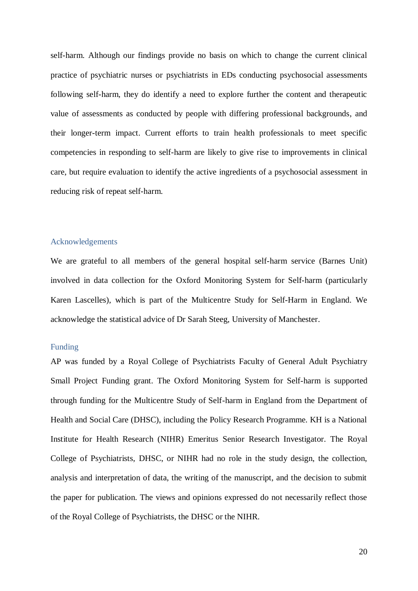self-harm. Although our findings provide no basis on which to change the current clinical practice of psychiatric nurses or psychiatrists in EDs conducting psychosocial assessments following self-harm, they do identify a need to explore further the content and therapeutic value of assessments as conducted by people with differing professional backgrounds, and their longer-term impact. Current efforts to train health professionals to meet specific competencies in responding to self-harm are likely to give rise to improvements in clinical care, but require evaluation to identify the active ingredients of a psychosocial assessment in reducing risk of repeat self-harm.

### Acknowledgements

We are grateful to all members of the general hospital self-harm service (Barnes Unit) involved in data collection for the Oxford Monitoring System for Self-harm (particularly Karen Lascelles), which is part of the Multicentre Study for Self-Harm in England. We acknowledge the statistical advice of Dr Sarah Steeg, University of Manchester.

#### Funding

AP was funded by a Royal College of Psychiatrists Faculty of General Adult Psychiatry Small Project Funding grant. The Oxford Monitoring System for Self-harm is supported through funding for the Multicentre Study of Self-harm in England from the Department of Health and Social Care (DHSC), including the Policy Research Programme. KH is a National Institute for Health Research (NIHR) Emeritus Senior Research Investigator. The Royal College of Psychiatrists, DHSC, or NIHR had no role in the study design, the collection, analysis and interpretation of data, the writing of the manuscript, and the decision to submit the paper for publication. The views and opinions expressed do not necessarily reflect those of the Royal College of Psychiatrists, the DHSC or the NIHR.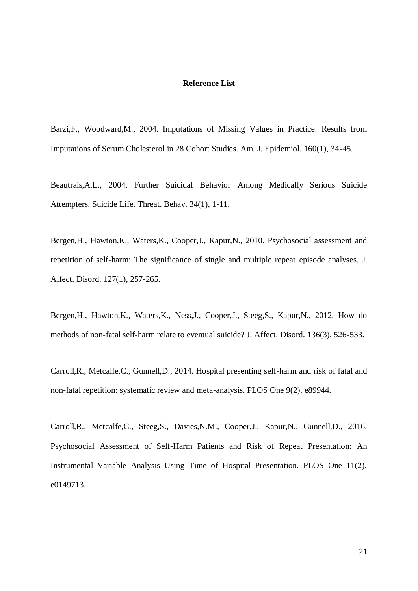#### **Reference List**

Barzi,F., Woodward,M., 2004. Imputations of Missing Values in Practice: Results from Imputations of Serum Cholesterol in 28 Cohort Studies. Am. J. Epidemiol. 160(1), 34-45.

Beautrais,A.L., 2004. Further Suicidal Behavior Among Medically Serious Suicide Attempters. Suicide Life. Threat. Behav. 34(1), 1-11.

Bergen,H., Hawton,K., Waters,K., Cooper,J., Kapur,N., 2010. Psychosocial assessment and repetition of self-harm: The significance of single and multiple repeat episode analyses. J. Affect. Disord. 127(1), 257-265.

Bergen,H., Hawton,K., Waters,K., Ness,J., Cooper,J., Steeg,S., Kapur,N., 2012. How do methods of non-fatal self-harm relate to eventual suicide? J. Affect. Disord. 136(3), 526-533.

Carroll,R., Metcalfe,C., Gunnell,D., 2014. Hospital presenting self-harm and risk of fatal and non-fatal repetition: systematic review and meta-analysis. PLOS One 9(2), e89944.

Carroll,R., Metcalfe,C., Steeg,S., Davies,N.M., Cooper,J., Kapur,N., Gunnell,D., 2016. Psychosocial Assessment of Self-Harm Patients and Risk of Repeat Presentation: An Instrumental Variable Analysis Using Time of Hospital Presentation. PLOS One 11(2), e0149713.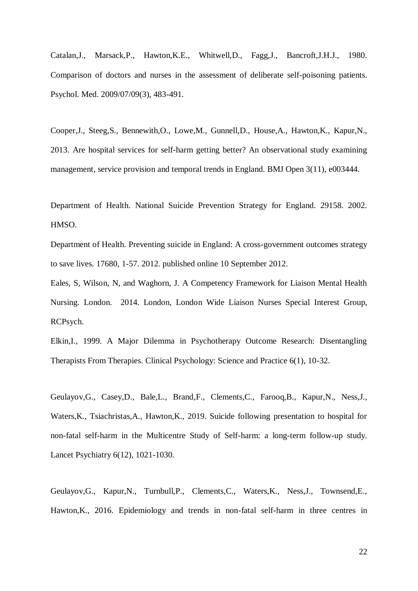Catalan,J., Marsack,P., Hawton,K.E., Whitwell,D., Fagg,J., Bancroft,J.H.J., 1980. Comparison of doctors and nurses in the assessment of deliberate self-poisoning patients. Psychol. Med. 2009/07/09(3), 483-491.

Cooper,J., Steeg,S., Bennewith,O., Lowe,M., Gunnell,D., House,A., Hawton,K., Kapur,N., 2013. Are hospital services for self-harm getting better? An observational study examining management, service provision and temporal trends in England. BMJ Open 3(11), e003444.

Department of Health. National Suicide Prevention Strategy for England. 29158. 2002. HMSO.

Department of Health. Preventing suicide in England: A cross-government outcomes strategy to save lives. 17680, 1-57. 2012. published online 10 September 2012.

Eales, S, Wilson, N, and Waghorn, J. A Competency Framework for Liaison Mental Health Nursing. London. 2014. London, London Wide Liaison Nurses Special Interest Group, RCPsych.

Elkin,I., 1999. A Major Dilemma in Psychotherapy Outcome Research: Disentangling Therapists From Therapies. Clinical Psychology: Science and Practice 6(1), 10-32.

Geulayov,G., Casey,D., Bale,L., Brand,F., Clements,C., Farooq,B., Kapur,N., Ness,J., Waters,K., Tsiachristas,A., Hawton,K., 2019. Suicide following presentation to hospital for non-fatal self-harm in the Multicentre Study of Self-harm: a long-term follow-up study. Lancet Psychiatry 6(12), 1021-1030.

Geulayov,G., Kapur,N., Turnbull,P., Clements,C., Waters,K., Ness,J., Townsend,E., Hawton,K., 2016. Epidemiology and trends in non-fatal self-harm in three centres in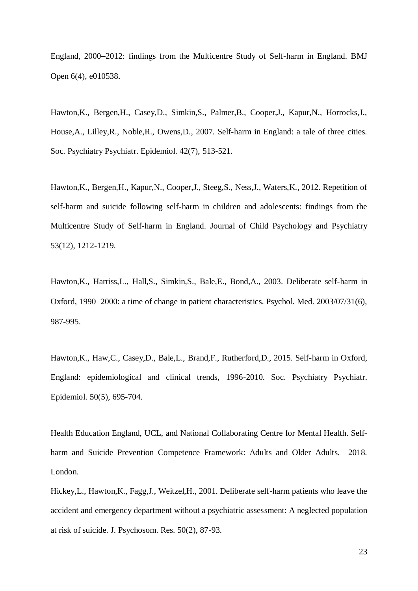England, 2000–2012: findings from the Multicentre Study of Self-harm in England. BMJ Open 6(4), e010538.

Hawton,K., Bergen,H., Casey,D., Simkin,S., Palmer,B., Cooper,J., Kapur,N., Horrocks,J., House,A., Lilley,R., Noble,R., Owens,D., 2007. Self-harm in England: a tale of three cities. Soc. Psychiatry Psychiatr. Epidemiol. 42(7), 513-521.

Hawton,K., Bergen,H., Kapur,N., Cooper,J., Steeg,S., Ness,J., Waters,K., 2012. Repetition of self-harm and suicide following self-harm in children and adolescents: findings from the Multicentre Study of Self-harm in England. Journal of Child Psychology and Psychiatry 53(12), 1212-1219.

Hawton,K., Harriss,L., Hall,S., Simkin,S., Bale,E., Bond,A., 2003. Deliberate self-harm in Oxford, 1990–2000: a time of change in patient characteristics. Psychol. Med. 2003/07/31(6), 987-995.

Hawton,K., Haw,C., Casey,D., Bale,L., Brand,F., Rutherford,D., 2015. Self-harm in Oxford, England: epidemiological and clinical trends, 1996-2010. Soc. Psychiatry Psychiatr. Epidemiol. 50(5), 695-704.

Health Education England, UCL, and National Collaborating Centre for Mental Health. Selfharm and Suicide Prevention Competence Framework: Adults and Older Adults. 2018. London.

Hickey,L., Hawton,K., Fagg,J., Weitzel,H., 2001. Deliberate self-harm patients who leave the accident and emergency department without a psychiatric assessment: A neglected population at risk of suicide. J. Psychosom. Res. 50(2), 87-93.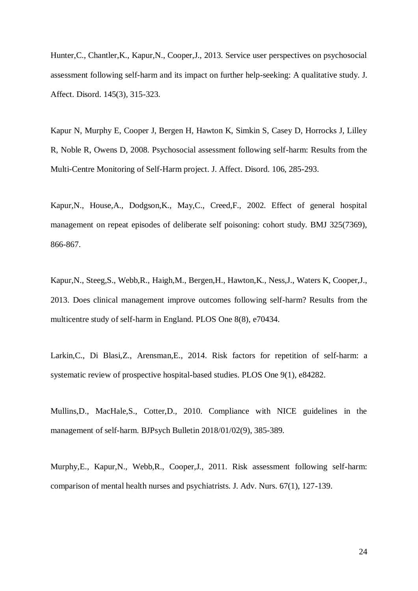Hunter,C., Chantler,K., Kapur,N., Cooper,J., 2013. Service user perspectives on psychosocial assessment following self-harm and its impact on further help-seeking: A qualitative study. J. Affect. Disord. 145(3), 315-323.

Kapur N, Murphy E, Cooper J, Bergen H, Hawton K, Simkin S, Casey D, Horrocks J, Lilley R, Noble R, Owens D, 2008. Psychosocial assessment following self-harm: Results from the Multi-Centre Monitoring of Self-Harm project. J. Affect. Disord. 106, 285-293.

Kapur,N., House,A., Dodgson,K., May,C., Creed,F., 2002. Effect of general hospital management on repeat episodes of deliberate self poisoning: cohort study. BMJ 325(7369), 866-867.

Kapur,N., Steeg,S., Webb,R., Haigh,M., Bergen,H., Hawton,K., Ness,J., Waters K, Cooper,J., 2013. Does clinical management improve outcomes following self-harm? Results from the multicentre study of self-harm in England. PLOS One 8(8), e70434.

Larkin,C., Di Blasi,Z., Arensman,E., 2014. Risk factors for repetition of self-harm: a systematic review of prospective hospital-based studies. PLOS One 9(1), e84282.

Mullins,D., MacHale,S., Cotter,D., 2010. Compliance with NICE guidelines in the management of self-harm. BJPsych Bulletin 2018/01/02(9), 385-389.

Murphy,E., Kapur,N., Webb,R., Cooper,J., 2011. Risk assessment following self-harm: comparison of mental health nurses and psychiatrists. J. Adv. Nurs. 67(1), 127-139.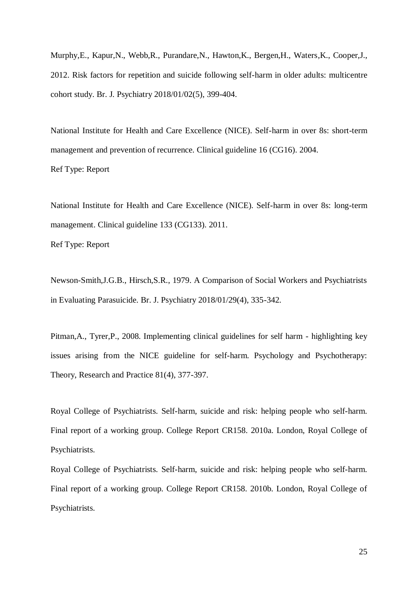Murphy,E., Kapur,N., Webb,R., Purandare,N., Hawton,K., Bergen,H., Waters,K., Cooper,J., 2012. Risk factors for repetition and suicide following self-harm in older adults: multicentre cohort study. Br. J. Psychiatry 2018/01/02(5), 399-404.

National Institute for Health and Care Excellence (NICE). Self-harm in over 8s: short-term management and prevention of recurrence. Clinical guideline 16 (CG16). 2004.

Ref Type: Report

National Institute for Health and Care Excellence (NICE). Self-harm in over 8s: long-term management. Clinical guideline 133 (CG133). 2011.

Ref Type: Report

Newson-Smith,J.G.B., Hirsch,S.R., 1979. A Comparison of Social Workers and Psychiatrists in Evaluating Parasuicide. Br. J. Psychiatry 2018/01/29(4), 335-342.

Pitman,A., Tyrer,P., 2008. Implementing clinical guidelines for self harm - highlighting key issues arising from the NICE guideline for self-harm. Psychology and Psychotherapy: Theory, Research and Practice 81(4), 377-397.

Royal College of Psychiatrists. Self-harm, suicide and risk: helping people who self-harm. Final report of a working group. College Report CR158. 2010a. London, Royal College of Psychiatrists.

Royal College of Psychiatrists. Self-harm, suicide and risk: helping people who self-harm. Final report of a working group. College Report CR158. 2010b. London, Royal College of Psychiatrists.